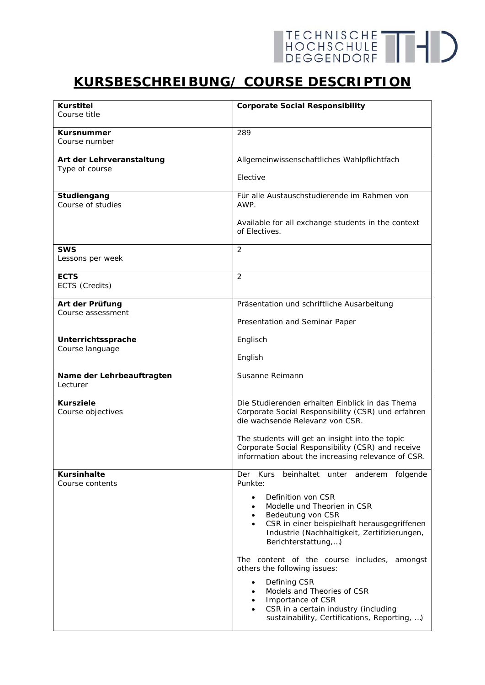## **KURSBESCHREIBUNG/ COURSE DESCRIPTION**

| <b>Kurstitel</b><br>Course title | <b>Corporate Social Responsibility</b>                                                      |
|----------------------------------|---------------------------------------------------------------------------------------------|
|                                  |                                                                                             |
| <b>Kursnummer</b>                | 289                                                                                         |
| Course number                    |                                                                                             |
| Art der Lehrveranstaltung        | Allgemeinwissenschaftliches Wahlpflichtfach                                                 |
| Type of course                   |                                                                                             |
|                                  | Elective                                                                                    |
| Studiengang                      | Für alle Austauschstudierende im Rahmen von                                                 |
| Course of studies                | AWP.                                                                                        |
|                                  | Available for all exchange students in the context                                          |
|                                  | of Electives.                                                                               |
|                                  |                                                                                             |
| <b>SWS</b><br>Lessons per week   | 2                                                                                           |
|                                  |                                                                                             |
| <b>ECTS</b>                      | 2                                                                                           |
| ECTS (Credits)                   |                                                                                             |
| Art der Prüfung                  | Präsentation und schriftliche Ausarbeitung                                                  |
| Course assessment                |                                                                                             |
|                                  | Presentation and Seminar Paper                                                              |
| Unterrichtssprache               | Englisch                                                                                    |
| Course language                  |                                                                                             |
|                                  | English                                                                                     |
| Name der Lehrbeauftragten        | Susanne Reimann                                                                             |
| Lecturer                         |                                                                                             |
| <b>Kursziele</b>                 | Die Studierenden erhalten Einblick in das Thema                                             |
| Course objectives                | Corporate Social Responsibility (CSR) und erfahren                                          |
|                                  | die wachsende Relevanz von CSR.                                                             |
|                                  | The students will get an insight into the topic                                             |
|                                  | Corporate Social Responsibility (CSR) and receive                                           |
|                                  | information about the increasing relevance of CSR.                                          |
| <b>Kursinhalte</b>               | Kurs beinhaltet unter anderem folgende<br>Der                                               |
| Course contents                  | Punkte:                                                                                     |
|                                  | Definition von CSR<br>$\bullet$                                                             |
|                                  | Modelle und Theorien in CSR<br>$\bullet$                                                    |
|                                  | Bedeutung von CSR<br>$\bullet$                                                              |
|                                  | CSR in einer beispielhaft herausgegriffenen<br>Industrie (Nachhaltigkeit, Zertifizierungen, |
|                                  | Berichterstattung,)                                                                         |
|                                  |                                                                                             |
|                                  | The content of the course includes, amongst<br>others the following issues:                 |
|                                  |                                                                                             |
|                                  | Defining CSR<br>$\bullet$<br>Models and Theories of CSR                                     |
|                                  | Importance of CSR<br>$\bullet$                                                              |
|                                  | CSR in a certain industry (including<br>$\bullet$                                           |
|                                  | sustainability, Certifications, Reporting, )                                                |